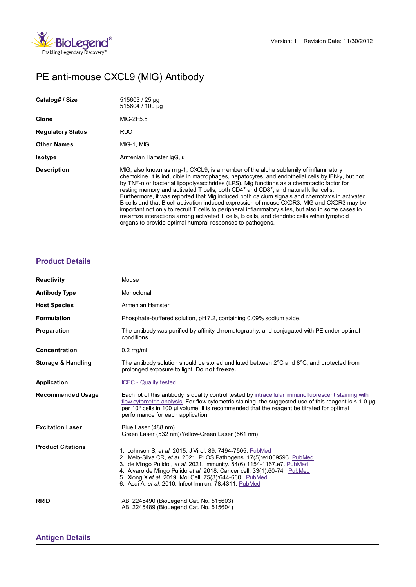

# PE anti-mouse CXCL9 (MIG) Antibody

| Catalog# / Size          | 515603 / 25 µg<br>515604 / 100 µg                                                                                                                                                                                                                                                                                                                                                                                                                                                                                                                                                                                                                                                                                                                                                                                                                  |
|--------------------------|----------------------------------------------------------------------------------------------------------------------------------------------------------------------------------------------------------------------------------------------------------------------------------------------------------------------------------------------------------------------------------------------------------------------------------------------------------------------------------------------------------------------------------------------------------------------------------------------------------------------------------------------------------------------------------------------------------------------------------------------------------------------------------------------------------------------------------------------------|
| Clone                    | MIG-2F5.5                                                                                                                                                                                                                                                                                                                                                                                                                                                                                                                                                                                                                                                                                                                                                                                                                                          |
| <b>Regulatory Status</b> | <b>RUO</b>                                                                                                                                                                                                                                                                                                                                                                                                                                                                                                                                                                                                                                                                                                                                                                                                                                         |
| <b>Other Names</b>       | MIG-1, MIG                                                                                                                                                                                                                                                                                                                                                                                                                                                                                                                                                                                                                                                                                                                                                                                                                                         |
| <b>Isotype</b>           | Armenian Hamster IgG, K                                                                                                                                                                                                                                                                                                                                                                                                                                                                                                                                                                                                                                                                                                                                                                                                                            |
| <b>Description</b>       | MIG, also known as mig-1, CXCL9, is a member of the alpha subfamily of inflammatory<br>chemokine. It is inducible in macrophages, hepatocytes, and endothelial cells by IFN-y, but not<br>by TNF-a or bacterial lipopolysacchrides (LPS). Mig functions as a chemotactic factor for<br>resting memory and activated T cells, both $CD4^+$ and $CD8^+$ , and natural killer cells.<br>Furthermore, it was reported that Mig induced both calcium signals and chemotaxis in activated<br>B cells and that B cell activation induced expression of mouse CXCR3. MIG and CXCR3 may be<br>important not only to recruit T cells to peripheral inflammatory sites, but also in some cases to<br>maximize interactions among activated T cells, B cells, and dendritic cells within lymphoid<br>organs to provide optimal humoral responses to pathogens. |

## **[Product](https://www.biolegend.com/en-gb/products/pe-anti-mouse-cxcl9-mig-antibody-6147?pdf=true&displayInline=true&leftRightMargin=15&topBottomMargin=15&filename=PE anti-mouse CXCL9 (MIG) Antibody.pdf#productDetails) Details**

| <b>Reactivity</b>             | Mouse                                                                                                                                                                                                                                                                                                                                                                                                      |
|-------------------------------|------------------------------------------------------------------------------------------------------------------------------------------------------------------------------------------------------------------------------------------------------------------------------------------------------------------------------------------------------------------------------------------------------------|
| <b>Antibody Type</b>          | Monoclonal                                                                                                                                                                                                                                                                                                                                                                                                 |
| <b>Host Species</b>           | Armenian Hamster                                                                                                                                                                                                                                                                                                                                                                                           |
| <b>Formulation</b>            | Phosphate-buffered solution, pH 7.2, containing 0.09% sodium azide.                                                                                                                                                                                                                                                                                                                                        |
| Preparation                   | The antibody was purified by affinity chromatography, and conjugated with PE under optimal<br>conditions.                                                                                                                                                                                                                                                                                                  |
| <b>Concentration</b>          | $0.2$ mg/ml                                                                                                                                                                                                                                                                                                                                                                                                |
| <b>Storage &amp; Handling</b> | The antibody solution should be stored undiluted between $2^{\circ}$ C and $8^{\circ}$ C, and protected from<br>prolonged exposure to light. Do not freeze.                                                                                                                                                                                                                                                |
| Application                   | <b>ICFC - Quality tested</b>                                                                                                                                                                                                                                                                                                                                                                               |
| <b>Recommended Usage</b>      | Each lot of this antibody is quality control tested by intracellular immunofluorescent staining with<br>flow cytometric analysis. For flow cytometric staining, the suggested use of this reagent is $\leq 1.0$ µg<br>per 10 <sup>6</sup> cells in 100 µ volume. It is recommended that the reagent be titrated for optimal<br>performance for each application.                                           |
| <b>Excitation Laser</b>       | Blue Laser (488 nm)<br>Green Laser (532 nm)/Yellow-Green Laser (561 nm)                                                                                                                                                                                                                                                                                                                                    |
| <b>Product Citations</b>      | 1. Johnson S, et al. 2015. J Virol. 89: 7494-7505. PubMed<br>2. Melo-Silva CR, et al. 2021. PLOS Pathogens. 17(5):e1009593. PubMed<br>3. de Mingo Pulido, et al. 2021. Immunity. 54(6):1154-1167.e7. PubMed<br>4. Alvaro de Mingo Pulido et al. 2018. Cancer cell. 33(1):60-74. PubMed<br>5. Xiong X et al. 2019. Mol Cell. 75(3):644-660. PubMed<br>6. Asai A, et al. 2010. Infect Immun. 78:4311. PubMed |
| <b>RRID</b>                   | AB 2245490 (BioLegend Cat. No. 515603)<br>AB 2245489 (BioLegend Cat. No. 515604)                                                                                                                                                                                                                                                                                                                           |

# **[Antigen](https://www.biolegend.com/en-gb/products/pe-anti-mouse-cxcl9-mig-antibody-6147?pdf=true&displayInline=true&leftRightMargin=15&topBottomMargin=15&filename=PE anti-mouse CXCL9 (MIG) Antibody.pdf#antigenDetails) Details**